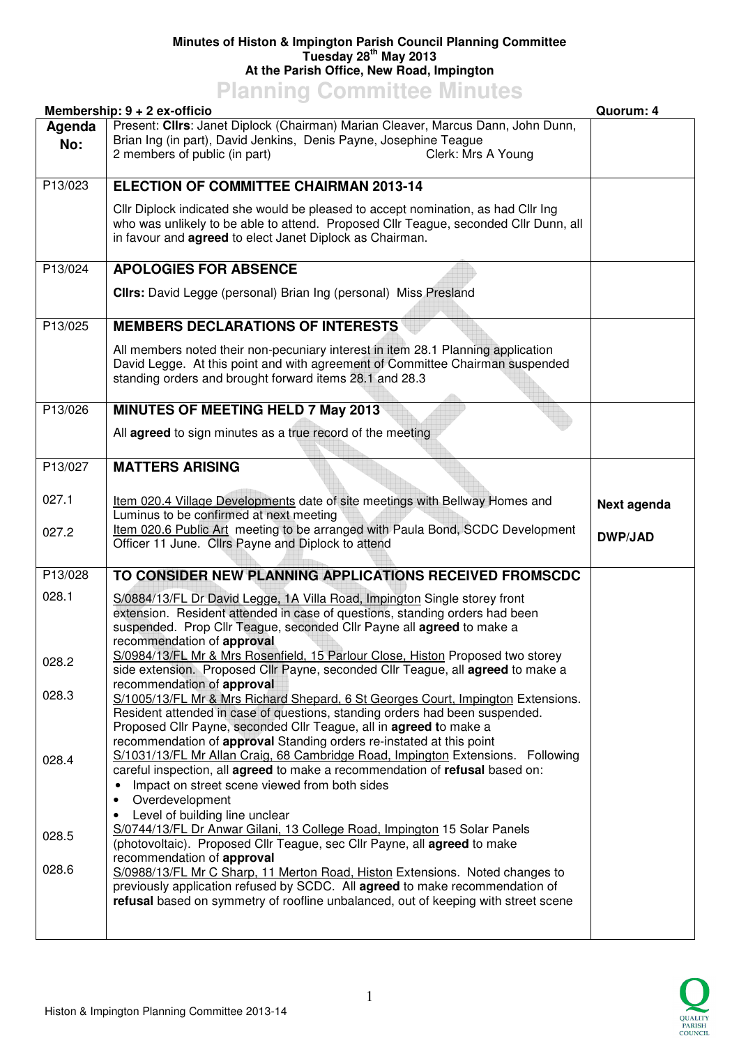## **Minutes of Histon & Impington Parish Council Planning Committee Tuesday 28th May 2013 At the Parish Office, New Road, Impington**

**Planning Committee Minutes** 

|               | Membership: 9 + 2 ex-officio                                                                                                                                                                                                                                                                                                                | Quorum: 4      |
|---------------|---------------------------------------------------------------------------------------------------------------------------------------------------------------------------------------------------------------------------------------------------------------------------------------------------------------------------------------------|----------------|
| Agenda<br>No: | Present: Cllrs: Janet Diplock (Chairman) Marian Cleaver, Marcus Dann, John Dunn,<br>Brian Ing (in part), David Jenkins, Denis Payne, Josephine Teague<br>2 members of public (in part)<br>Clerk: Mrs A Young                                                                                                                                |                |
| P13/023       | <b>ELECTION OF COMMITTEE CHAIRMAN 2013-14</b>                                                                                                                                                                                                                                                                                               |                |
|               | Cllr Diplock indicated she would be pleased to accept nomination, as had Cllr Ing<br>who was unlikely to be able to attend. Proposed Cllr Teague, seconded Cllr Dunn, all<br>in favour and <b>agreed</b> to elect Janet Diplock as Chairman.                                                                                                |                |
| P13/024       | <b>APOLOGIES FOR ABSENCE</b>                                                                                                                                                                                                                                                                                                                |                |
|               | Clirs: David Legge (personal) Brian Ing (personal) Miss Presland                                                                                                                                                                                                                                                                            |                |
| P13/025       | <b>MEMBERS DECLARATIONS OF INTERESTS</b>                                                                                                                                                                                                                                                                                                    |                |
|               | All members noted their non-pecuniary interest in item 28.1 Planning application<br>David Legge. At this point and with agreement of Committee Chairman suspended<br>standing orders and brought forward items 28.1 and 28.3                                                                                                                |                |
| P13/026       | <b>MINUTES OF MEETING HELD 7 May 2013</b>                                                                                                                                                                                                                                                                                                   |                |
|               | All agreed to sign minutes as a true record of the meeting                                                                                                                                                                                                                                                                                  |                |
| P13/027       | <b>MATTERS ARISING</b>                                                                                                                                                                                                                                                                                                                      |                |
| 027.1         | Item 020.4 Village Developments date of site meetings with Bellway Homes and<br>Luminus to be confirmed at next meeting                                                                                                                                                                                                                     | Next agenda    |
| 027.2         | Item 020.6 Public Art meeting to be arranged with Paula Bond, SCDC Development<br>Officer 11 June. Cllrs Payne and Diplock to attend                                                                                                                                                                                                        | <b>DWP/JAD</b> |
| P13/028       | TO CONSIDER NEW PLANNING APPLICATIONS RECEIVED FROMSCDC                                                                                                                                                                                                                                                                                     |                |
| 028.1         | S/0884/13/FL Dr David Legge, 1A Villa Road, Impington Single storey front<br>extension. Resident attended in case of questions, standing orders had been<br>suspended. Prop Cllr Teague, seconded Cllr Payne all agreed to make a<br>recommendation of approval                                                                             |                |
| 028.2         | S/0984/13/FL Mr & Mrs Rosenfield, 15 Parlour Close, Histon Proposed two storey<br>side extension. Proposed Cllr Payne, seconded Cllr Teague, all agreed to make a                                                                                                                                                                           |                |
| 028.3         | recommendation of approval<br>S/1005/13/FL Mr & Mrs Richard Shepard, 6 St Georges Court, Impington Extensions.<br>Resident attended in case of questions, standing orders had been suspended.<br>Proposed Cllr Payne, seconded Cllr Teague, all in agreed to make a<br>recommendation of approval Standing orders re-instated at this point |                |
| 028.4         | S/1031/13/FL Mr Allan Craig, 68 Cambridge Road, Impington Extensions. Following<br>careful inspection, all agreed to make a recommendation of refusal based on:<br>Impact on street scene viewed from both sides<br>$\bullet$<br>Overdevelopment<br>Level of building line unclear<br>٠                                                     |                |
| 028.5         | S/0744/13/FL Dr Anwar Gilani, 13 College Road, Impington 15 Solar Panels<br>(photovoltaic). Proposed Cllr Teague, sec Cllr Payne, all <b>agreed</b> to make<br>recommendation of approval                                                                                                                                                   |                |
| 028.6         | S/0988/13/FL Mr C Sharp, 11 Merton Road, Histon Extensions. Noted changes to<br>previously application refused by SCDC. All agreed to make recommendation of<br>refusal based on symmetry of roofline unbalanced, out of keeping with street scene                                                                                          |                |